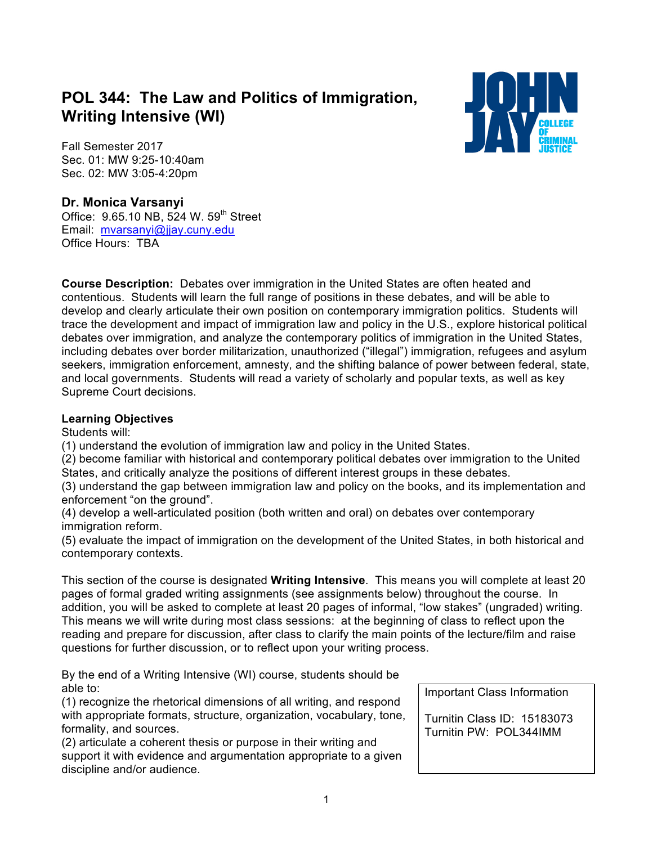# **POL 344: The Law and Politics of Immigration, Writing Intensive (WI)**



Fall Semester 2017 Sec. 01: MW 9:25-10:40am Sec. 02: MW 3:05-4:20pm

#### **Dr. Monica Varsanyi**

Office: 9.65.10 NB, 524 W. 59<sup>th</sup> Street Email: mvarsanyi@jjay.cuny.edu Office Hours: TBA

**Course Description:** Debates over immigration in the United States are often heated and contentious. Students will learn the full range of positions in these debates, and will be able to develop and clearly articulate their own position on contemporary immigration politics. Students will trace the development and impact of immigration law and policy in the U.S., explore historical political debates over immigration, and analyze the contemporary politics of immigration in the United States, including debates over border militarization, unauthorized ("illegal") immigration, refugees and asylum seekers, immigration enforcement, amnesty, and the shifting balance of power between federal, state, and local governments. Students will read a variety of scholarly and popular texts, as well as key Supreme Court decisions.

#### **Learning Objectives**

Students will:

(1) understand the evolution of immigration law and policy in the United States.

(2) become familiar with historical and contemporary political debates over immigration to the United States, and critically analyze the positions of different interest groups in these debates.

(3) understand the gap between immigration law and policy on the books, and its implementation and enforcement "on the ground".

(4) develop a well-articulated position (both written and oral) on debates over contemporary immigration reform.

(5) evaluate the impact of immigration on the development of the United States, in both historical and contemporary contexts.

This section of the course is designated **Writing Intensive**. This means you will complete at least 20 pages of formal graded writing assignments (see assignments below) throughout the course. In addition, you will be asked to complete at least 20 pages of informal, "low stakes" (ungraded) writing. This means we will write during most class sessions: at the beginning of class to reflect upon the reading and prepare for discussion, after class to clarify the main points of the lecture/film and raise questions for further discussion, or to reflect upon your writing process.

By the end of a Writing Intensive (WI) course, students should be able to:

(1) recognize the rhetorical dimensions of all writing, and respond with appropriate formats, structure, organization, vocabulary, tone, formality, and sources.

(2) articulate a coherent thesis or purpose in their writing and support it with evidence and argumentation appropriate to a given discipline and/or audience.

Important Class Information

Turnitin Class ID: 15183073 Turnitin PW: POL344IMM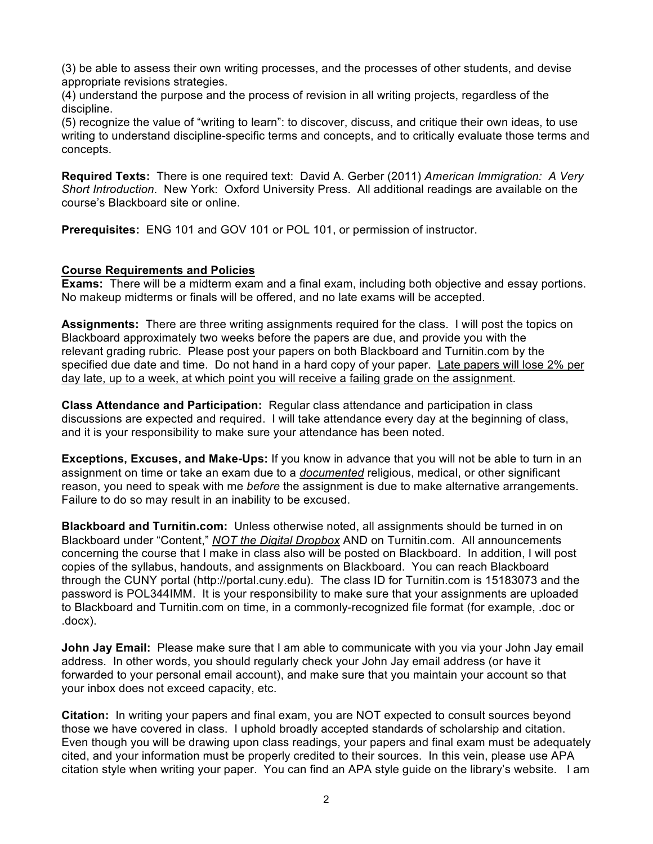(3) be able to assess their own writing processes, and the processes of other students, and devise appropriate revisions strategies.

(4) understand the purpose and the process of revision in all writing projects, regardless of the discipline.

(5) recognize the value of "writing to learn": to discover, discuss, and critique their own ideas, to use writing to understand discipline-specific terms and concepts, and to critically evaluate those terms and concepts.

**Required Texts:** There is one required text: David A. Gerber (2011) *American Immigration: A Very Short Introduction*. New York: Oxford University Press. All additional readings are available on the course's Blackboard site or online.

**Prerequisites:** ENG 101 and GOV 101 or POL 101, or permission of instructor.

#### **Course Requirements and Policies**

**Exams:** There will be a midterm exam and a final exam, including both objective and essay portions. No makeup midterms or finals will be offered, and no late exams will be accepted.

**Assignments:** There are three writing assignments required for the class. I will post the topics on Blackboard approximately two weeks before the papers are due, and provide you with the relevant grading rubric. Please post your papers on both Blackboard and Turnitin.com by the specified due date and time. Do not hand in a hard copy of your paper. Late papers will lose 2% per day late, up to a week, at which point you will receive a failing grade on the assignment.

**Class Attendance and Participation:** Regular class attendance and participation in class discussions are expected and required. I will take attendance every day at the beginning of class, and it is your responsibility to make sure your attendance has been noted.

**Exceptions, Excuses, and Make-Ups:** If you know in advance that you will not be able to turn in an assignment on time or take an exam due to a *documented* religious, medical, or other significant reason, you need to speak with me *before* the assignment is due to make alternative arrangements. Failure to do so may result in an inability to be excused.

**Blackboard and Turnitin.com:** Unless otherwise noted, all assignments should be turned in on Blackboard under "Content," *NOT the Digital Dropbox* AND on Turnitin.com. All announcements concerning the course that I make in class also will be posted on Blackboard. In addition, I will post copies of the syllabus, handouts, and assignments on Blackboard. You can reach Blackboard through the CUNY portal (http://portal.cuny.edu). The class ID for Turnitin.com is 15183073 and the password is POL344IMM. It is your responsibility to make sure that your assignments are uploaded to Blackboard and Turnitin.com on time, in a commonly-recognized file format (for example, .doc or .docx).

**John Jay Email:** Please make sure that I am able to communicate with you via your John Jay email address. In other words, you should regularly check your John Jay email address (or have it forwarded to your personal email account), and make sure that you maintain your account so that your inbox does not exceed capacity, etc.

**Citation:** In writing your papers and final exam, you are NOT expected to consult sources beyond those we have covered in class. I uphold broadly accepted standards of scholarship and citation. Even though you will be drawing upon class readings, your papers and final exam must be adequately cited, and your information must be properly credited to their sources. In this vein, please use APA citation style when writing your paper. You can find an APA style guide on the library's website. I am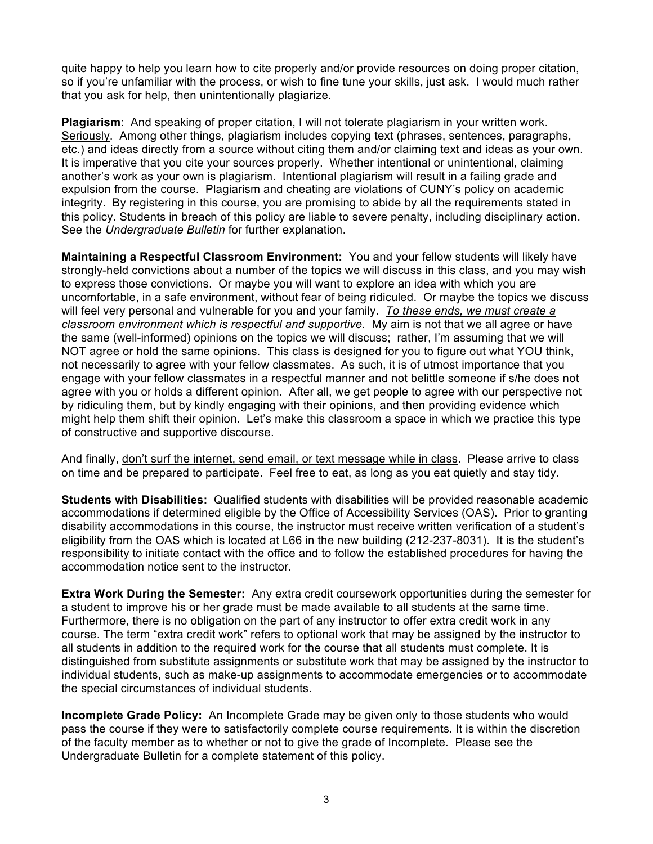quite happy to help you learn how to cite properly and/or provide resources on doing proper citation, so if you're unfamiliar with the process, or wish to fine tune your skills, just ask. I would much rather that you ask for help, then unintentionally plagiarize.

**Plagiarism**: And speaking of proper citation, I will not tolerate plagiarism in your written work. Seriously. Among other things, plagiarism includes copying text (phrases, sentences, paragraphs, etc.) and ideas directly from a source without citing them and/or claiming text and ideas as your own. It is imperative that you cite your sources properly. Whether intentional or unintentional, claiming another's work as your own is plagiarism. Intentional plagiarism will result in a failing grade and expulsion from the course. Plagiarism and cheating are violations of CUNY's policy on academic integrity. By registering in this course, you are promising to abide by all the requirements stated in this policy. Students in breach of this policy are liable to severe penalty, including disciplinary action. See the *Undergraduate Bulletin* for further explanation.

**Maintaining a Respectful Classroom Environment:** You and your fellow students will likely have strongly-held convictions about a number of the topics we will discuss in this class, and you may wish to express those convictions. Or maybe you will want to explore an idea with which you are uncomfortable, in a safe environment, without fear of being ridiculed. Or maybe the topics we discuss will feel very personal and vulnerable for you and your family. *To these ends, we must create a classroom environment which is respectful and supportive.* My aim is not that we all agree or have the same (well-informed) opinions on the topics we will discuss; rather, I'm assuming that we will NOT agree or hold the same opinions. This class is designed for you to figure out what YOU think, not necessarily to agree with your fellow classmates. As such, it is of utmost importance that you engage with your fellow classmates in a respectful manner and not belittle someone if s/he does not agree with you or holds a different opinion. After all, we get people to agree with our perspective not by ridiculing them, but by kindly engaging with their opinions, and then providing evidence which might help them shift their opinion. Let's make this classroom a space in which we practice this type of constructive and supportive discourse.

And finally, don't surf the internet, send email, or text message while in class. Please arrive to class on time and be prepared to participate. Feel free to eat, as long as you eat quietly and stay tidy.

**Students with Disabilities:** Qualified students with disabilities will be provided reasonable academic accommodations if determined eligible by the Office of Accessibility Services (OAS). Prior to granting disability accommodations in this course, the instructor must receive written verification of a student's eligibility from the OAS which is located at L66 in the new building (212-237-8031). It is the student's responsibility to initiate contact with the office and to follow the established procedures for having the accommodation notice sent to the instructor.

**Extra Work During the Semester:** Any extra credit coursework opportunities during the semester for a student to improve his or her grade must be made available to all students at the same time. Furthermore, there is no obligation on the part of any instructor to offer extra credit work in any course. The term "extra credit work" refers to optional work that may be assigned by the instructor to all students in addition to the required work for the course that all students must complete. It is distinguished from substitute assignments or substitute work that may be assigned by the instructor to individual students, such as make-up assignments to accommodate emergencies or to accommodate the special circumstances of individual students.

**Incomplete Grade Policy:** An Incomplete Grade may be given only to those students who would pass the course if they were to satisfactorily complete course requirements. It is within the discretion of the faculty member as to whether or not to give the grade of Incomplete. Please see the Undergraduate Bulletin for a complete statement of this policy.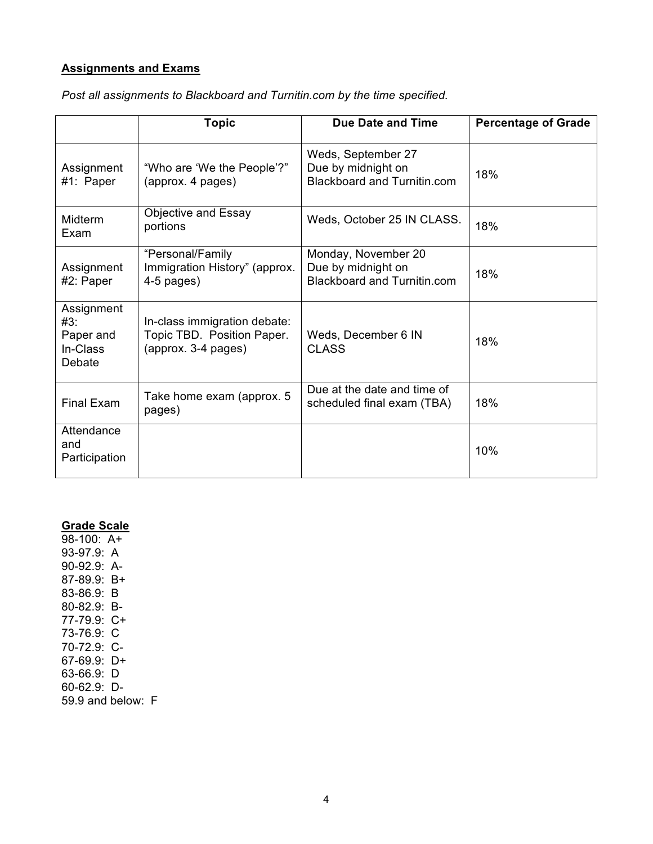#### **Assignments and Exams**

|                                                      | <b>Topic</b>                                                                      | <b>Due Date and Time</b>                                                        | <b>Percentage of Grade</b> |
|------------------------------------------------------|-----------------------------------------------------------------------------------|---------------------------------------------------------------------------------|----------------------------|
| Assignment<br>#1: Paper                              | "Who are 'We the People'?"<br>(approx. 4 pages)                                   | Weds, September 27<br>Due by midnight on<br>Blackboard and Turnitin.com         | 18%                        |
| Midterm<br>Exam                                      | Objective and Essay<br>portions                                                   | Weds, October 25 IN CLASS.                                                      | 18%                        |
| Assignment<br>#2: Paper                              | "Personal/Family<br>Immigration History" (approx.<br>$4-5$ pages)                 | Monday, November 20<br>Due by midnight on<br><b>Blackboard and Turnitin.com</b> | 18%                        |
| Assignment<br>#3:<br>Paper and<br>In-Class<br>Debate | In-class immigration debate:<br>Topic TBD. Position Paper.<br>(approx. 3-4 pages) | Weds, December 6 IN<br><b>CLASS</b>                                             | 18%                        |
| <b>Final Exam</b>                                    | Take home exam (approx. 5<br>pages)                                               | Due at the date and time of<br>scheduled final exam (TBA)                       | 18%                        |
| Attendance<br>and<br>Participation                   |                                                                                   |                                                                                 | 10%                        |

*Post all assignments to Blackboard and Turnitin.com by the time specified.*

### **Grade Scale**

98-100: A+ 93-97.9: A 90-92.9: A-87-89.9: B+ 83-86.9: B 80-82.9: B-77-79.9: C+ 73-76.9: C 70-72.9: C-67-69.9: D+ 63-66.9: D 60-62.9: D-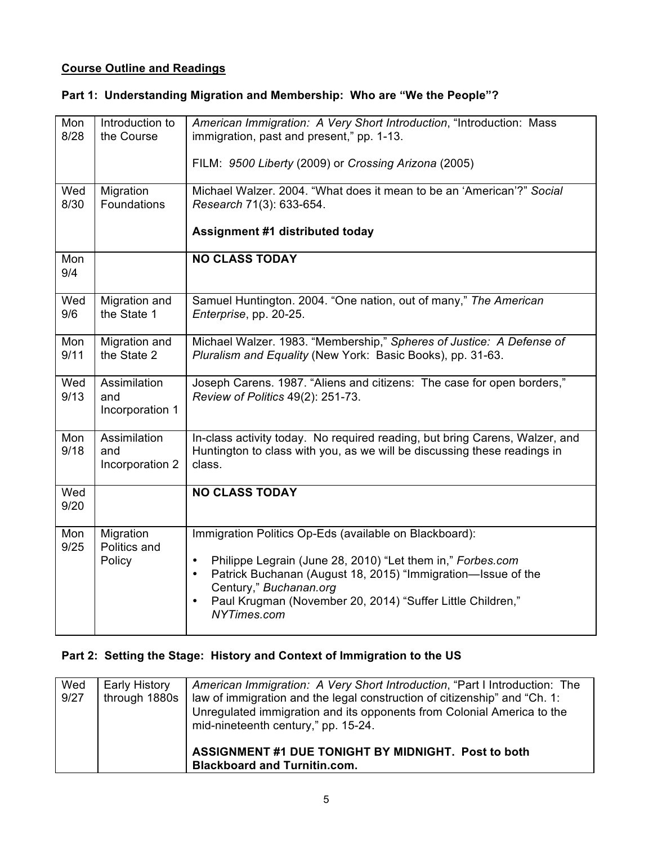### **Course Outline and Readings**

### **Part 1: Understanding Migration and Membership: Who are "We the People"?**

| Mon<br>8/28 | Introduction to<br>the Course          | American Immigration: A Very Short Introduction, "Introduction: Mass<br>immigration, past and present," pp. 1-13.<br>FILM: 9500 Liberty (2009) or Crossing Arizona (2005)                                                                                                                                                          |
|-------------|----------------------------------------|------------------------------------------------------------------------------------------------------------------------------------------------------------------------------------------------------------------------------------------------------------------------------------------------------------------------------------|
| Wed<br>8/30 | Migration<br><b>Foundations</b>        | Michael Walzer. 2004. "What does it mean to be an 'American'?" Social<br>Research 71(3): 633-654.<br><b>Assignment #1 distributed today</b>                                                                                                                                                                                        |
| Mon<br>9/4  |                                        | <b>NO CLASS TODAY</b>                                                                                                                                                                                                                                                                                                              |
| Wed<br>9/6  | Migration and<br>the State 1           | Samuel Huntington. 2004. "One nation, out of many," The American<br>Enterprise, pp. 20-25.                                                                                                                                                                                                                                         |
| Mon<br>9/11 | Migration and<br>the State 2           | Michael Walzer. 1983. "Membership," Spheres of Justice: A Defense of<br>Pluralism and Equality (New York: Basic Books), pp. 31-63.                                                                                                                                                                                                 |
| Wed<br>9/13 | Assimilation<br>and<br>Incorporation 1 | Joseph Carens. 1987. "Aliens and citizens: The case for open borders,"<br>Review of Politics 49(2): 251-73.                                                                                                                                                                                                                        |
| Mon<br>9/18 | Assimilation<br>and<br>Incorporation 2 | In-class activity today. No required reading, but bring Carens, Walzer, and<br>Huntington to class with you, as we will be discussing these readings in<br>class.                                                                                                                                                                  |
| Wed<br>9/20 |                                        | <b>NO CLASS TODAY</b>                                                                                                                                                                                                                                                                                                              |
| Mon<br>9/25 | Migration<br>Politics and<br>Policy    | Immigration Politics Op-Eds (available on Blackboard):<br>Philippe Legrain (June 28, 2010) "Let them in," Forbes.com<br>$\bullet$<br>Patrick Buchanan (August 18, 2015) "Immigration-Issue of the<br>$\bullet$<br>Century," Buchanan.org<br>Paul Krugman (November 20, 2014) "Suffer Little Children,"<br>$\bullet$<br>NYTimes.com |

### **Part 2: Setting the Stage: History and Context of Immigration to the US**

| Wed<br>9/27 | Early History<br>through 1880s | American Immigration: A Very Short Introduction, "Part I Introduction: The<br>law of immigration and the legal construction of citizenship" and "Ch. 1:<br>Unregulated immigration and its opponents from Colonial America to the<br>mid-nineteenth century," pp. 15-24. |
|-------------|--------------------------------|--------------------------------------------------------------------------------------------------------------------------------------------------------------------------------------------------------------------------------------------------------------------------|
|             |                                | ASSIGNMENT #1 DUE TONIGHT BY MIDNIGHT. Post to both<br><b>Blackboard and Turnitin.com.</b>                                                                                                                                                                               |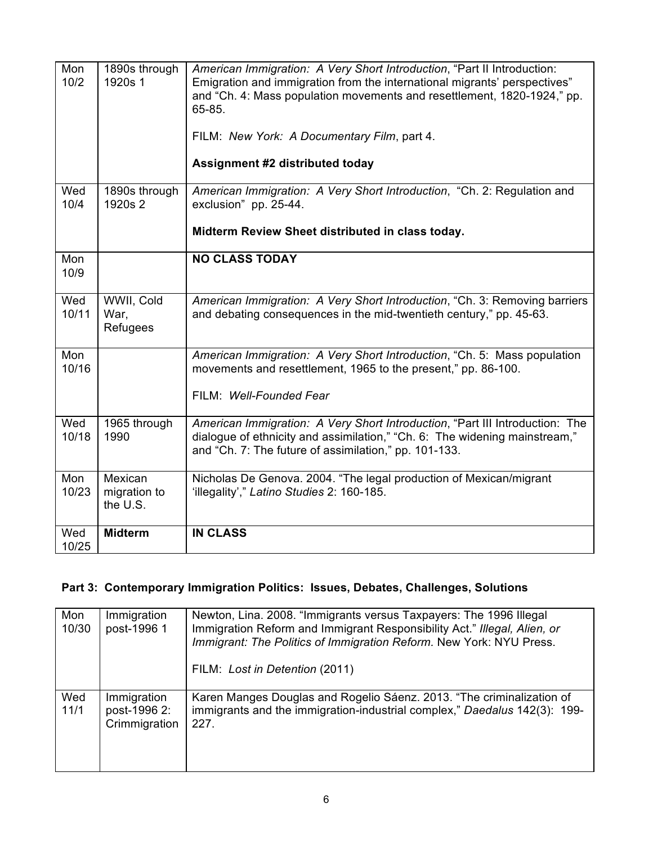| Mon<br>10/2  | 1890s through<br>1920s 1            | American Immigration: A Very Short Introduction, "Part II Introduction:<br>Emigration and immigration from the international migrants' perspectives"<br>and "Ch. 4: Mass population movements and resettlement, 1820-1924," pp.<br>65-85.<br>FILM: New York: A Documentary Film, part 4.<br>Assignment #2 distributed today |
|--------------|-------------------------------------|-----------------------------------------------------------------------------------------------------------------------------------------------------------------------------------------------------------------------------------------------------------------------------------------------------------------------------|
| Wed<br>10/4  | 1890s through<br>1920s 2            | American Immigration: A Very Short Introduction, "Ch. 2: Regulation and<br>exclusion" pp. 25-44.<br>Midterm Review Sheet distributed in class today.                                                                                                                                                                        |
| Mon<br>10/9  |                                     | <b>NO CLASS TODAY</b>                                                                                                                                                                                                                                                                                                       |
| Wed<br>10/11 | WWII, Cold<br>War,<br>Refugees      | American Immigration: A Very Short Introduction, "Ch. 3: Removing barriers<br>and debating consequences in the mid-twentieth century," pp. 45-63.                                                                                                                                                                           |
| Mon<br>10/16 |                                     | American Immigration: A Very Short Introduction, "Ch. 5: Mass population<br>movements and resettlement, 1965 to the present," pp. 86-100.<br>FILM: Well-Founded Fear                                                                                                                                                        |
| Wed<br>10/18 | 1965 through<br>1990                | American Immigration: A Very Short Introduction, "Part III Introduction: The<br>dialogue of ethnicity and assimilation," "Ch. 6: The widening mainstream,"<br>and "Ch. 7: The future of assimilation," pp. 101-133.                                                                                                         |
| Mon<br>10/23 | Mexican<br>migration to<br>the U.S. | Nicholas De Genova. 2004. "The legal production of Mexican/migrant<br>'illegality'," Latino Studies 2: 160-185.                                                                                                                                                                                                             |
| Wed<br>10/25 | <b>Midterm</b>                      | <b>IN CLASS</b>                                                                                                                                                                                                                                                                                                             |

## **Part 3: Contemporary Immigration Politics: Issues, Debates, Challenges, Solutions**

| Mon<br>10/30 | Immigration<br>post-1996 1                   | Newton, Lina. 2008. "Immigrants versus Taxpayers: The 1996 Illegal<br>Immigration Reform and Immigrant Responsibility Act." Illegal, Alien, or<br>Immigrant: The Politics of Immigration Reform. New York: NYU Press.<br>FILM: Lost in Detention (2011) |
|--------------|----------------------------------------------|---------------------------------------------------------------------------------------------------------------------------------------------------------------------------------------------------------------------------------------------------------|
| Wed<br>11/1  | Immigration<br>post-1996 2:<br>Crimmigration | Karen Manges Douglas and Rogelio Sáenz. 2013. "The criminalization of<br>immigrants and the immigration-industrial complex," Daedalus 142(3): 199-<br>227.                                                                                              |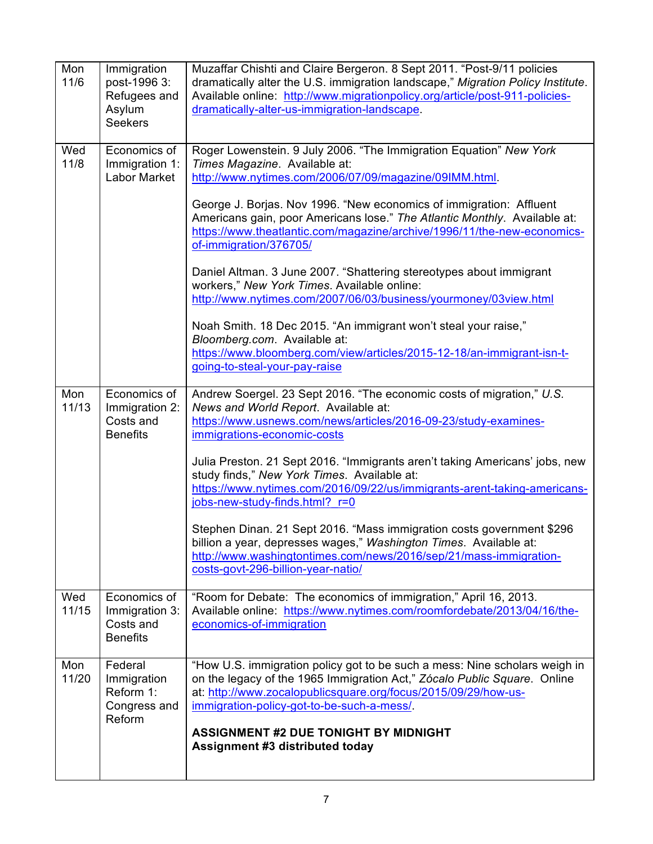| Mon<br>11/6  | Immigration<br>post-1996 3:<br>Refugees and<br>Asylum<br><b>Seekers</b> | Muzaffar Chishti and Claire Bergeron. 8 Sept 2011. "Post-9/11 policies<br>dramatically alter the U.S. immigration landscape," Migration Policy Institute.<br>Available online: http://www.migrationpolicy.org/article/post-911-policies-<br>dramatically-alter-us-immigration-landscape.                                                                                                                                                                                                                                                                                                                                                                                                                                                                                                                                       |
|--------------|-------------------------------------------------------------------------|--------------------------------------------------------------------------------------------------------------------------------------------------------------------------------------------------------------------------------------------------------------------------------------------------------------------------------------------------------------------------------------------------------------------------------------------------------------------------------------------------------------------------------------------------------------------------------------------------------------------------------------------------------------------------------------------------------------------------------------------------------------------------------------------------------------------------------|
| Wed<br>11/8  | Economics of<br>Immigration 1:<br><b>Labor Market</b>                   | Roger Lowenstein. 9 July 2006. "The Immigration Equation" New York<br>Times Magazine. Available at:<br>http://www.nytimes.com/2006/07/09/magazine/09IMM.html.<br>George J. Borjas. Nov 1996. "New economics of immigration: Affluent<br>Americans gain, poor Americans lose." The Atlantic Monthly. Available at:<br>https://www.theatlantic.com/magazine/archive/1996/11/the-new-economics-<br>of-immigration/376705/<br>Daniel Altman. 3 June 2007. "Shattering stereotypes about immigrant<br>workers," New York Times. Available online:<br>http://www.nytimes.com/2007/06/03/business/yourmoney/03view.html<br>Noah Smith. 18 Dec 2015. "An immigrant won't steal your raise,"<br>Bloomberg.com. Available at:<br>https://www.bloomberg.com/view/articles/2015-12-18/an-immigrant-isn-t-<br>going-to-steal-your-pay-raise |
| Mon<br>11/13 | Economics of<br>Immigration 2:<br>Costs and<br><b>Benefits</b>          | Andrew Soergel. 23 Sept 2016. "The economic costs of migration," U.S.<br>News and World Report. Available at:<br>https://www.usnews.com/news/articles/2016-09-23/study-examines-<br>immigrations-economic-costs<br>Julia Preston. 21 Sept 2016. "Immigrants aren't taking Americans' jobs, new<br>study finds," New York Times. Available at:<br>https://www.nytimes.com/2016/09/22/us/immigrants-arent-taking-americans-<br>jobs-new-study-finds.html? r=0<br>Stephen Dinan. 21 Sept 2016. "Mass immigration costs government \$296<br>billion a year, depresses wages," Washington Times. Available at:<br>http://www.washingtontimes.com/news/2016/sep/21/mass-immigration-<br>costs-govt-296-billion-year-natio/                                                                                                           |
| Wed<br>11/15 | Economics of<br>Immigration 3:<br>Costs and<br><b>Benefits</b>          | "Room for Debate: The economics of immigration," April 16, 2013.<br>Available online: https://www.nytimes.com/roomfordebate/2013/04/16/the-<br>economics-of-immigration                                                                                                                                                                                                                                                                                                                                                                                                                                                                                                                                                                                                                                                        |
| Mon<br>11/20 | Federal<br>Immigration<br>Reform 1:<br>Congress and<br>Reform           | "How U.S. immigration policy got to be such a mess: Nine scholars weigh in<br>on the legacy of the 1965 Immigration Act," Zócalo Public Square. Online<br>at: http://www.zocalopublicsquare.org/focus/2015/09/29/how-us-<br>immigration-policy-got-to-be-such-a-mess/.<br><b>ASSIGNMENT #2 DUE TONIGHT BY MIDNIGHT</b><br>Assignment #3 distributed today                                                                                                                                                                                                                                                                                                                                                                                                                                                                      |